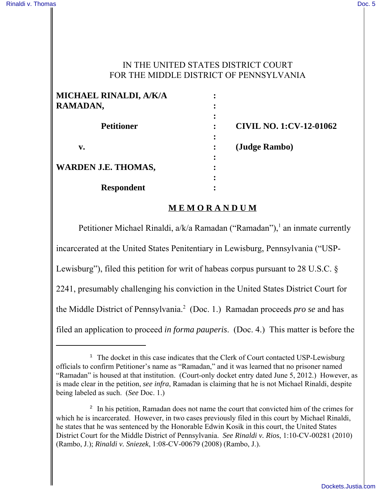### IN THE UNITED STATES DISTRICT COURT FOR THE MIDDLE DISTRICT OF PENNSYLVANIA

| MICHAEL RINALDI, A/K/A     |                                |
|----------------------------|--------------------------------|
| RAMADAN,                   |                                |
|                            |                                |
| <b>Petitioner</b>          | <b>CIVIL NO. 1:CV-12-01062</b> |
|                            |                                |
| v.                         | (Judge Rambo)                  |
|                            |                                |
| <b>WARDEN J.E. THOMAS,</b> |                                |
|                            |                                |
| <b>Respondent</b>          |                                |

### **M E M O R A N D U M**

Petitioner Michael Rinaldi, a/k/a Ramadan ("Ramadan"),<sup>1</sup> an inmate currently incarcerated at the United States Penitentiary in Lewisburg, Pennsylvania ("USP-Lewisburg"), filed this petition for writ of habeas corpus pursuant to 28 U.S.C. § 2241, presumably challenging his conviction in the United States District Court for the Middle District of Pennsylvania.<sup>2</sup> (Doc. 1.) Ramadan proceeds *pro se* and has filed an application to proceed *in forma pauperis*. (Doc. 4.) This matter is before the

 $1$  The docket in this case indicates that the Clerk of Court contacted USP-Lewisburg officials to confirm Petitioner's name as "Ramadan," and it was learned that no prisoner named "Ramadan" is housed at that institution. (Court-only docket entry dated June 5, 2012.) However, as is made clear in the petition, *see infra*, Ramadan is claiming that he is not Michael Rinaldi, despite being labeled as such. (*See* Doc. 1.)

<sup>&</sup>lt;sup>2</sup> In his petition, Ramadan does not name the court that convicted him of the crimes for which he is incarcerated. However, in two cases previously filed in this court by Michael Rinaldi, he states that he was sentenced by the Honorable Edwin Kosik in this court, the United States District Court for the Middle District of Pennsylvania. *See Rinaldi v. Rios*, 1:10-CV-00281 (2010) (Rambo, J.); *Rinaldi v. Sniezek*, 1:08-CV-00679 (2008) (Rambo, J.).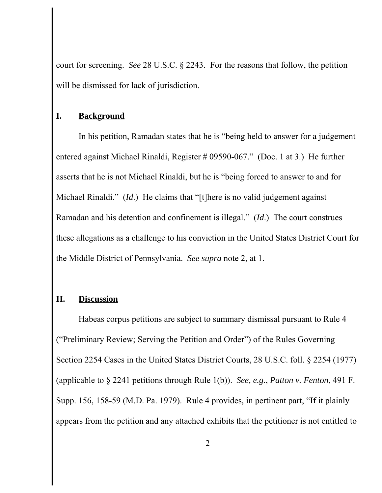court for screening. *See* 28 U.S.C. § 2243. For the reasons that follow, the petition will be dismissed for lack of jurisdiction.

### **I. Background**

In his petition, Ramadan states that he is "being held to answer for a judgement entered against Michael Rinaldi, Register # 09590-067." (Doc. 1 at 3.) He further asserts that he is not Michael Rinaldi, but he is "being forced to answer to and for Michael Rinaldi." (*Id*.) He claims that "[t]here is no valid judgement against Ramadan and his detention and confinement is illegal." (*Id*.) The court construes these allegations as a challenge to his conviction in the United States District Court for the Middle District of Pennsylvania. *See supra* note 2, at 1.

## **II. Discussion**

Habeas corpus petitions are subject to summary dismissal pursuant to Rule 4 ("Preliminary Review; Serving the Petition and Order") of the Rules Governing Section 2254 Cases in the United States District Courts, 28 U.S.C. foll. § 2254 (1977) (applicable to § 2241 petitions through Rule 1(b)). *See, e.g.*, *Patton v. Fenton*, 491 F. Supp. 156, 158-59 (M.D. Pa. 1979). Rule 4 provides, in pertinent part, "If it plainly appears from the petition and any attached exhibits that the petitioner is not entitled to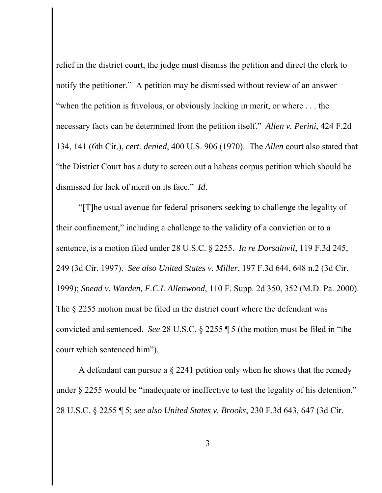relief in the district court, the judge must dismiss the petition and direct the clerk to notify the petitioner." A petition may be dismissed without review of an answer "when the petition is frivolous, or obviously lacking in merit, or where . . . the necessary facts can be determined from the petition itself." *Allen v. Perini*, 424 F.2d 134, 141 (6th Cir.), *cert. denied*, 400 U.S. 906 (1970). The *Allen* court also stated that "the District Court has a duty to screen out a habeas corpus petition which should be dismissed for lack of merit on its face." *Id*.

"[T]he usual avenue for federal prisoners seeking to challenge the legality of their confinement," including a challenge to the validity of a conviction or to a sentence, is a motion filed under 28 U.S.C. § 2255. *In re Dorsainvil*, 119 F.3d 245, 249 (3d Cir. 1997). *See also United States v. Miller*, 197 F.3d 644, 648 n.2 (3d Cir. 1999); *Snead v. Warden, F.C.I. Allenwood*, 110 F. Supp. 2d 350, 352 (M.D. Pa. 2000). The § 2255 motion must be filed in the district court where the defendant was convicted and sentenced. *See* 28 U.S.C. § 2255 ¶ 5 (the motion must be filed in "the court which sentenced him").

A defendant can pursue a § 2241 petition only when he shows that the remedy under § 2255 would be "inadequate or ineffective to test the legality of his detention." 28 U.S.C. § 2255 ¶ 5; *see also United States v. Brooks*, 230 F.3d 643, 647 (3d Cir.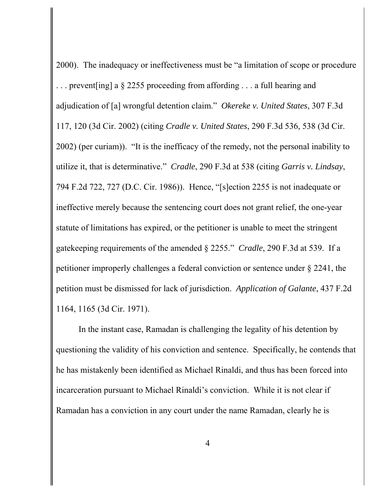2000). The inadequacy or ineffectiveness must be "a limitation of scope or procedure . prevent [ing] a  $\S$  2255 proceeding from affording ... a full hearing and adjudication of [a] wrongful detention claim." *Okereke v. United States*, 307 F.3d 117, 120 (3d Cir. 2002) (citing *Cradle v. United States*, 290 F.3d 536, 538 (3d Cir. 2002) (per curiam)). "It is the inefficacy of the remedy, not the personal inability to utilize it, that is determinative." *Cradle*, 290 F.3d at 538 (citing *Garris v. Lindsay*, 794 F.2d 722, 727 (D.C. Cir. 1986)). Hence, "[s]ection 2255 is not inadequate or ineffective merely because the sentencing court does not grant relief, the one-year statute of limitations has expired, or the petitioner is unable to meet the stringent gatekeeping requirements of the amended § 2255." *Cradle*, 290 F.3d at 539. If a petitioner improperly challenges a federal conviction or sentence under § 2241, the petition must be dismissed for lack of jurisdiction. *Application of Galante*, 437 F.2d 1164, 1165 (3d Cir. 1971).

In the instant case, Ramadan is challenging the legality of his detention by questioning the validity of his conviction and sentence. Specifically, he contends that he has mistakenly been identified as Michael Rinaldi, and thus has been forced into incarceration pursuant to Michael Rinaldi's conviction. While it is not clear if Ramadan has a conviction in any court under the name Ramadan, clearly he is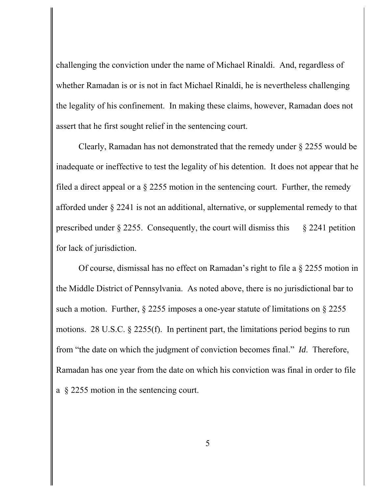challenging the conviction under the name of Michael Rinaldi. And, regardless of whether Ramadan is or is not in fact Michael Rinaldi, he is nevertheless challenging the legality of his confinement. In making these claims, however, Ramadan does not assert that he first sought relief in the sentencing court.

Clearly, Ramadan has not demonstrated that the remedy under § 2255 would be inadequate or ineffective to test the legality of his detention. It does not appear that he filed a direct appeal or a § 2255 motion in the sentencing court. Further, the remedy afforded under § 2241 is not an additional, alternative, or supplemental remedy to that prescribed under  $\S 2255$ . Consequently, the court will dismiss this  $\S 2241$  petition for lack of jurisdiction.

Of course, dismissal has no effect on Ramadan's right to file a § 2255 motion in the Middle District of Pennsylvania. As noted above, there is no jurisdictional bar to such a motion. Further, § 2255 imposes a one-year statute of limitations on § 2255 motions. 28 U.S.C. § 2255(f). In pertinent part, the limitations period begins to run from "the date on which the judgment of conviction becomes final." *Id*. Therefore, Ramadan has one year from the date on which his conviction was final in order to file a § 2255 motion in the sentencing court.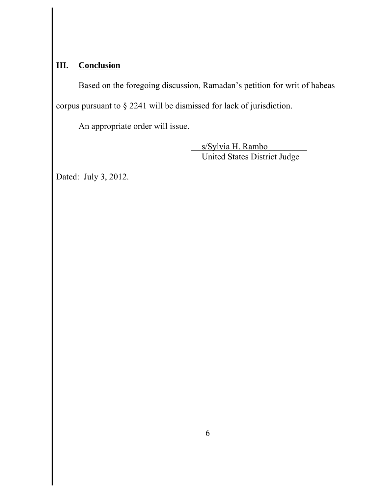# **III. Conclusion**

Based on the foregoing discussion, Ramadan's petition for writ of habeas corpus pursuant to § 2241 will be dismissed for lack of jurisdiction.

An appropriate order will issue.

 s/Sylvia H. Rambo United States District Judge

Dated: July 3, 2012.